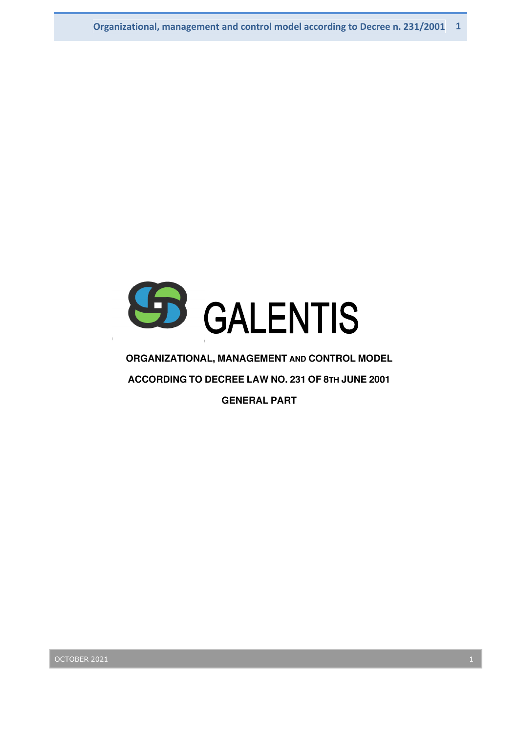

### **ORGANIZATIONAL, MANAGEMENT AND CONTROL MODEL**

**ACCORDING TO DECREE LAW NO. 231 OF 8TH JUNE 2001** 

**GENERAL PART**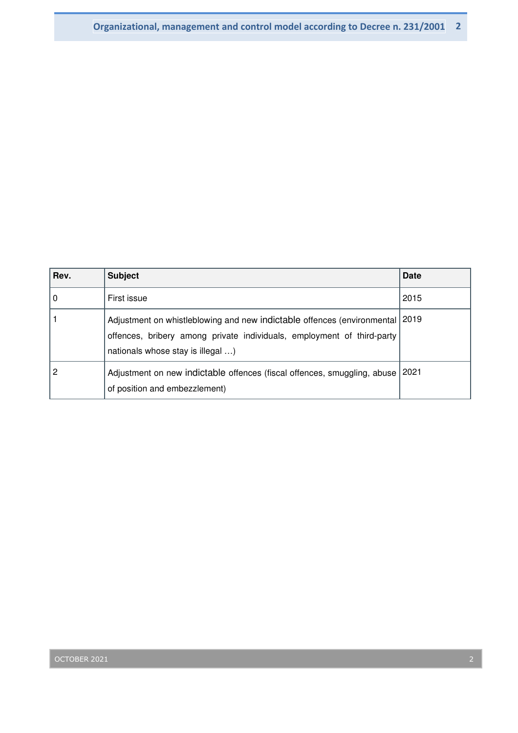| Rev. | <b>Subject</b>                                                                                                                                                                         | <b>Date</b> |
|------|----------------------------------------------------------------------------------------------------------------------------------------------------------------------------------------|-------------|
| 0    | First issue                                                                                                                                                                            | 2015        |
|      | Adjustment on whistleblowing and new indictable offences (environmental<br>offences, bribery among private individuals, employment of third-party<br>nationals whose stay is illegal ) | 2019        |
| 2    | Adjustment on new indictable offences (fiscal offences, smuggling, abuse<br>of position and embezzlement)                                                                              | 2021        |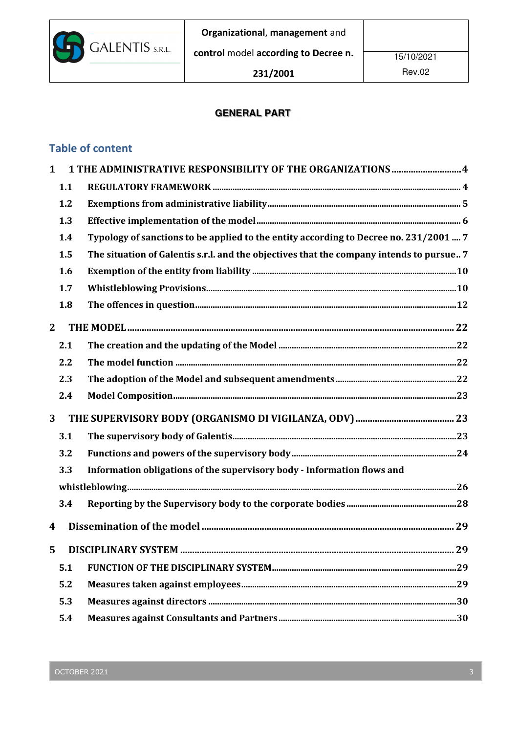

## **GENERAL PART**

# Table of content

| $\mathbf{1}$   |     | 1 THE ADMINISTRATIVE RESPONSIBILITY OF THE ORGANIZATIONS  4                              |  |
|----------------|-----|------------------------------------------------------------------------------------------|--|
|                | 1.1 |                                                                                          |  |
|                | 1.2 |                                                                                          |  |
|                | 1.3 |                                                                                          |  |
|                | 1.4 | Typology of sanctions to be applied to the entity according to Decree no. 231/2001  7    |  |
|                | 1.5 | The situation of Galentis s.r.l. and the objectives that the company intends to pursue 7 |  |
|                | 1.6 |                                                                                          |  |
|                | 1.7 |                                                                                          |  |
|                | 1.8 |                                                                                          |  |
| $\overline{2}$ |     |                                                                                          |  |
|                | 2.1 |                                                                                          |  |
|                | 2.2 |                                                                                          |  |
|                | 2.3 |                                                                                          |  |
|                | 2.4 |                                                                                          |  |
| 3              |     |                                                                                          |  |
|                | 3.1 |                                                                                          |  |
|                | 3.2 |                                                                                          |  |
|                | 3.3 | Information obligations of the supervisory body - Information flows and                  |  |
|                |     |                                                                                          |  |
|                | 3.4 |                                                                                          |  |
| 4              |     |                                                                                          |  |
| 5              |     |                                                                                          |  |
|                | 5.1 |                                                                                          |  |
|                | 5.2 |                                                                                          |  |
|                | 5.3 |                                                                                          |  |
|                | 5.4 |                                                                                          |  |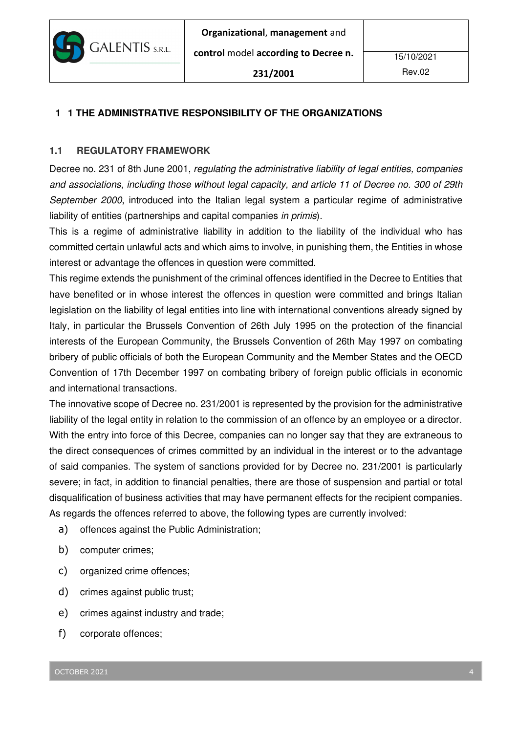

## **1 1 THE ADMINISTRATIVE RESPONSIBILITY OF THE ORGANIZATIONS**

### **1.1 REGULATORY FRAMEWORK**

Decree no. 231 of 8th June 2001, regulating the administrative liability of legal entities, companies and associations, including those without legal capacity, and article 11 of Decree no. 300 of 29th September 2000, introduced into the Italian legal system a particular regime of administrative liability of entities (partnerships and capital companies in primis).

This is a regime of administrative liability in addition to the liability of the individual who has committed certain unlawful acts and which aims to involve, in punishing them, the Entities in whose interest or advantage the offences in question were committed.

This regime extends the punishment of the criminal offences identified in the Decree to Entities that have benefited or in whose interest the offences in question were committed and brings Italian legislation on the liability of legal entities into line with international conventions already signed by Italy, in particular the Brussels Convention of 26th July 1995 on the protection of the financial interests of the European Community, the Brussels Convention of 26th May 1997 on combating bribery of public officials of both the European Community and the Member States and the OECD Convention of 17th December 1997 on combating bribery of foreign public officials in economic and international transactions.

The innovative scope of Decree no. 231/2001 is represented by the provision for the administrative liability of the legal entity in relation to the commission of an offence by an employee or a director. With the entry into force of this Decree, companies can no longer say that they are extraneous to the direct consequences of crimes committed by an individual in the interest or to the advantage of said companies. The system of sanctions provided for by Decree no. 231/2001 is particularly severe; in fact, in addition to financial penalties, there are those of suspension and partial or total disqualification of business activities that may have permanent effects for the recipient companies. As regards the offences referred to above, the following types are currently involved:

- a) offences against the Public Administration;
- b) computer crimes;
- c) organized crime offences;
- d) crimes against public trust;
- e) crimes against industry and trade;
- f) corporate offences;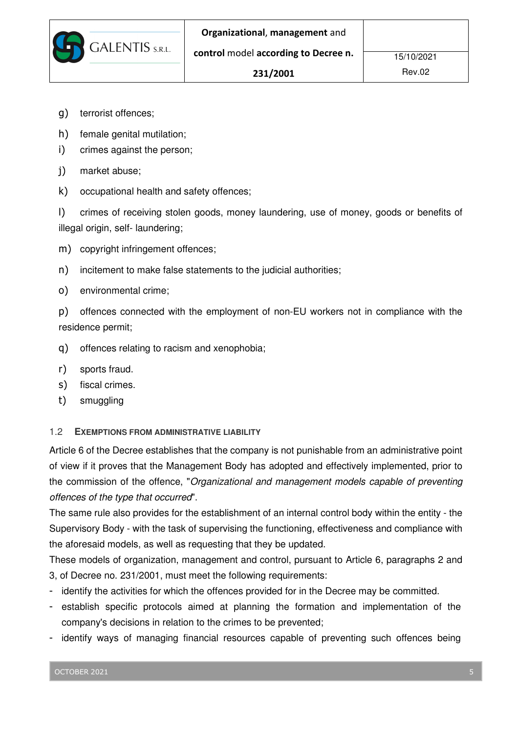15/10/2021

- g) terrorist offences;
- h) female genital mutilation;
- i) crimes against the person;

**GALENTIS** S.R.L.

- j) market abuse;
- k) occupational health and safety offences;

l) crimes of receiving stolen goods, money laundering, use of money, goods or benefits of illegal origin, self- laundering;

- m) copyright infringement offences;
- n) incitement to make false statements to the judicial authorities;
- o) environmental crime;

p) offences connected with the employment of non-EU workers not in compliance with the residence permit;

- q) offences relating to racism and xenophobia;
- r) sports fraud.
- s) fiscal crimes.
- t) smuggling

1.2 **EXEMPTIONS FROM ADMINISTRATIVE LIABILITY**

Article 6 of the Decree establishes that the company is not punishable from an administrative point of view if it proves that the Management Body has adopted and effectively implemented, prior to the commission of the offence, "Organizational and management models capable of preventing offences of the type that occurred".

The same rule also provides for the establishment of an internal control body within the entity - the Supervisory Body - with the task of supervising the functioning, effectiveness and compliance with the aforesaid models, as well as requesting that they be updated.

These models of organization, management and control, pursuant to Article 6, paragraphs 2 and 3, of Decree no. 231/2001, must meet the following requirements:

- identify the activities for which the offences provided for in the Decree may be committed.
- establish specific protocols aimed at planning the formation and implementation of the company's decisions in relation to the crimes to be prevented;
- identify ways of managing financial resources capable of preventing such offences being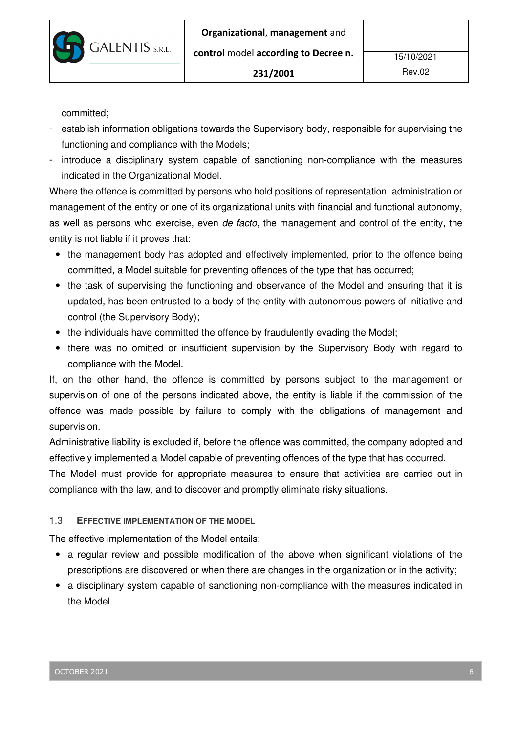

committed;

- establish information obligations towards the Supervisory body, responsible for supervising the functioning and compliance with the Models;
- introduce a disciplinary system capable of sanctioning non-compliance with the measures indicated in the Organizational Model.

Where the offence is committed by persons who hold positions of representation, administration or management of the entity or one of its organizational units with financial and functional autonomy, as well as persons who exercise, even de facto, the management and control of the entity, the entity is not liable if it proves that:

- the management body has adopted and effectively implemented, prior to the offence being committed, a Model suitable for preventing offences of the type that has occurred;
- the task of supervising the functioning and observance of the Model and ensuring that it is updated, has been entrusted to a body of the entity with autonomous powers of initiative and control (the Supervisory Body);
- the individuals have committed the offence by fraudulently evading the Model;
- there was no omitted or insufficient supervision by the Supervisory Body with regard to compliance with the Model.

If, on the other hand, the offence is committed by persons subject to the management or supervision of one of the persons indicated above, the entity is liable if the commission of the offence was made possible by failure to comply with the obligations of management and supervision.

Administrative liability is excluded if, before the offence was committed, the company adopted and effectively implemented a Model capable of preventing offences of the type that has occurred.

The Model must provide for appropriate measures to ensure that activities are carried out in compliance with the law, and to discover and promptly eliminate risky situations.

### 1.3 **EFFECTIVE IMPLEMENTATION OF THE MODEL**

The effective implementation of the Model entails:

- a regular review and possible modification of the above when significant violations of the prescriptions are discovered or when there are changes in the organization or in the activity;
- a disciplinary system capable of sanctioning non-compliance with the measures indicated in the Model.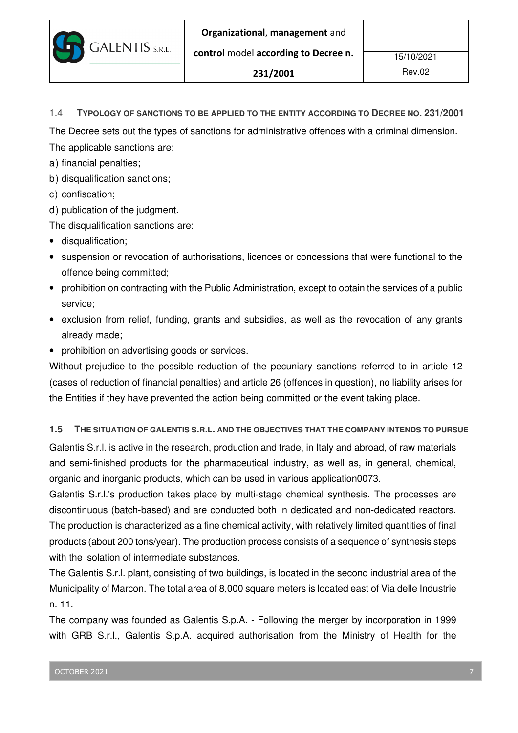control model according to Decree n.

1.4 **TYPOLOGY OF SANCTIONS TO BE APPLIED TO THE ENTITY ACCORDING TO DECREE NO. 231/2001**

The Decree sets out the types of sanctions for administrative offences with a criminal dimension.

The applicable sanctions are:

a) financial penalties;

- b) disqualification sanctions;
- c) confiscation;
- d) publication of the judgment.

The disqualification sanctions are:

- disqualification;
- suspension or revocation of authorisations, licences or concessions that were functional to the offence being committed;
- prohibition on contracting with the Public Administration, except to obtain the services of a public service;
- exclusion from relief, funding, grants and subsidies, as well as the revocation of any grants already made;
- prohibition on advertising goods or services.

Without prejudice to the possible reduction of the pecuniary sanctions referred to in article 12 (cases of reduction of financial penalties) and article 26 (offences in question), no liability arises for the Entities if they have prevented the action being committed or the event taking place.

## **1.5 THE SITUATION OF GALENTIS S.R.L. AND THE OBJECTIVES THAT THE COMPANY INTENDS TO PURSUE**

Galentis S.r.l. is active in the research, production and trade, in Italy and abroad, of raw materials and semi-finished products for the pharmaceutical industry, as well as, in general, chemical, organic and inorganic products, which can be used in various application0073.

Galentis S.r.l.'s production takes place by multi-stage chemical synthesis. The processes are discontinuous (batch-based) and are conducted both in dedicated and non-dedicated reactors. The production is characterized as a fine chemical activity, with relatively limited quantities of final products (about 200 tons/year). The production process consists of a sequence of synthesis steps with the isolation of intermediate substances.

The Galentis S.r.l. plant, consisting of two buildings, is located in the second industrial area of the Municipality of Marcon. The total area of 8,000 square meters is located east of Via delle Industrie n. 11.

The company was founded as Galentis S.p.A. - Following the merger by incorporation in 1999 with GRB S.r.l., Galentis S.p.A. acquired authorisation from the Ministry of Health for the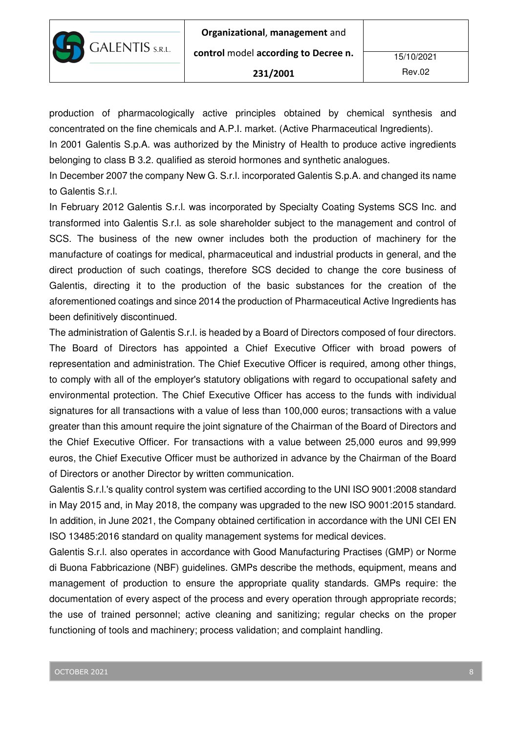production of pharmacologically active principles obtained by chemical synthesis and concentrated on the fine chemicals and A.P.I. market. (Active Pharmaceutical Ingredients).

In 2001 Galentis S.p.A. was authorized by the Ministry of Health to produce active ingredients belonging to class B 3.2. qualified as steroid hormones and synthetic analogues.

In December 2007 the company New G. S.r.l. incorporated Galentis S.p.A. and changed its name to Galentis S.r.l.

In February 2012 Galentis S.r.l. was incorporated by Specialty Coating Systems SCS Inc. and transformed into Galentis S.r.l. as sole shareholder subject to the management and control of SCS. The business of the new owner includes both the production of machinery for the manufacture of coatings for medical, pharmaceutical and industrial products in general, and the direct production of such coatings, therefore SCS decided to change the core business of Galentis, directing it to the production of the basic substances for the creation of the aforementioned coatings and since 2014 the production of Pharmaceutical Active Ingredients has been definitively discontinued.

The administration of Galentis S.r.l. is headed by a Board of Directors composed of four directors. The Board of Directors has appointed a Chief Executive Officer with broad powers of representation and administration. The Chief Executive Officer is required, among other things, to comply with all of the employer's statutory obligations with regard to occupational safety and environmental protection. The Chief Executive Officer has access to the funds with individual signatures for all transactions with a value of less than 100,000 euros; transactions with a value greater than this amount require the joint signature of the Chairman of the Board of Directors and the Chief Executive Officer. For transactions with a value between 25,000 euros and 99,999 euros, the Chief Executive Officer must be authorized in advance by the Chairman of the Board of Directors or another Director by written communication.

Galentis S.r.l.'s quality control system was certified according to the UNI ISO 9001:2008 standard in May 2015 and, in May 2018, the company was upgraded to the new ISO 9001:2015 standard. In addition, in June 2021, the Company obtained certification in accordance with the UNI CEI EN ISO 13485:2016 standard on quality management systems for medical devices.

Galentis S.r.l. also operates in accordance with Good Manufacturing Practises (GMP) or Norme di Buona Fabbricazione (NBF) guidelines. GMPs describe the methods, equipment, means and management of production to ensure the appropriate quality standards. GMPs require: the documentation of every aspect of the process and every operation through appropriate records; the use of trained personnel; active cleaning and sanitizing; regular checks on the proper functioning of tools and machinery; process validation; and complaint handling.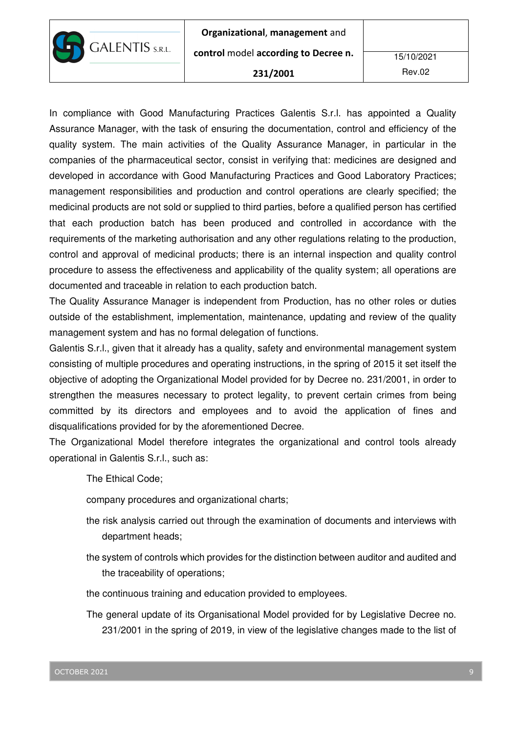

control model according to Decree n.

#### 231/2001

Rev.02

In compliance with Good Manufacturing Practices Galentis S.r.l. has appointed a Quality Assurance Manager, with the task of ensuring the documentation, control and efficiency of the quality system. The main activities of the Quality Assurance Manager, in particular in the companies of the pharmaceutical sector, consist in verifying that: medicines are designed and developed in accordance with Good Manufacturing Practices and Good Laboratory Practices; management responsibilities and production and control operations are clearly specified; the medicinal products are not sold or supplied to third parties, before a qualified person has certified that each production batch has been produced and controlled in accordance with the requirements of the marketing authorisation and any other regulations relating to the production, control and approval of medicinal products; there is an internal inspection and quality control procedure to assess the effectiveness and applicability of the quality system; all operations are documented and traceable in relation to each production batch.

The Quality Assurance Manager is independent from Production, has no other roles or duties outside of the establishment, implementation, maintenance, updating and review of the quality management system and has no formal delegation of functions.

Galentis S.r.l., given that it already has a quality, safety and environmental management system consisting of multiple procedures and operating instructions, in the spring of 2015 it set itself the objective of adopting the Organizational Model provided for by Decree no. 231/2001, in order to strengthen the measures necessary to protect legality, to prevent certain crimes from being committed by its directors and employees and to avoid the application of fines and disqualifications provided for by the aforementioned Decree.

The Organizational Model therefore integrates the organizational and control tools already operational in Galentis S.r.l., such as:

The Ethical Code;

company procedures and organizational charts;

- the risk analysis carried out through the examination of documents and interviews with department heads;
- the system of controls which provides for the distinction between auditor and audited and the traceability of operations;
- the continuous training and education provided to employees.
- The general update of its Organisational Model provided for by Legislative Decree no. 231/2001 in the spring of 2019, in view of the legislative changes made to the list of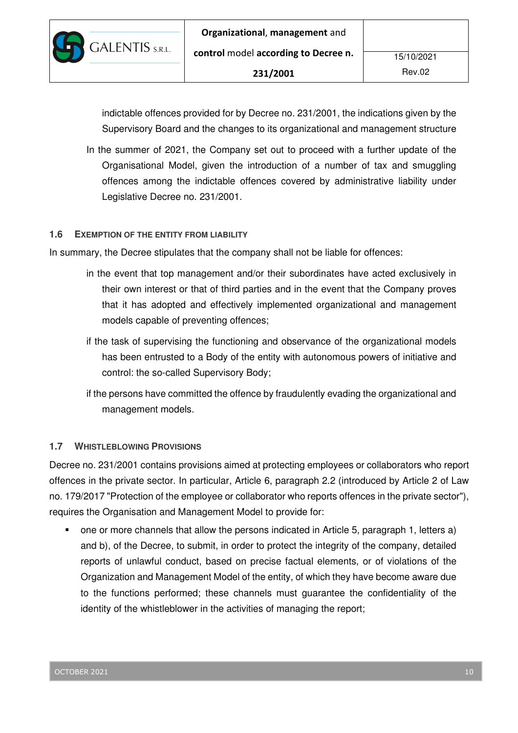

indictable offences provided for by Decree no. 231/2001, the indications given by the Supervisory Board and the changes to its organizational and management structure

In the summer of 2021, the Company set out to proceed with a further update of the Organisational Model, given the introduction of a number of tax and smuggling offences among the indictable offences covered by administrative liability under Legislative Decree no. 231/2001.

### **1.6 EXEMPTION OF THE ENTITY FROM LIABILITY**

In summary, the Decree stipulates that the company shall not be liable for offences:

- in the event that top management and/or their subordinates have acted exclusively in their own interest or that of third parties and in the event that the Company proves that it has adopted and effectively implemented organizational and management models capable of preventing offences;
- if the task of supervising the functioning and observance of the organizational models has been entrusted to a Body of the entity with autonomous powers of initiative and control: the so-called Supervisory Body;
- if the persons have committed the offence by fraudulently evading the organizational and management models.

### **1.7 WHISTLEBLOWING PROVISIONS**

Decree no. 231/2001 contains provisions aimed at protecting employees or collaborators who report offences in the private sector. In particular, Article 6, paragraph 2.2 (introduced by Article 2 of Law no. 179/2017 "Protection of the employee or collaborator who reports offences in the private sector"), requires the Organisation and Management Model to provide for:

 one or more channels that allow the persons indicated in Article 5, paragraph 1, letters a) and b), of the Decree, to submit, in order to protect the integrity of the company, detailed reports of unlawful conduct, based on precise factual elements, or of violations of the Organization and Management Model of the entity, of which they have become aware due to the functions performed; these channels must guarantee the confidentiality of the identity of the whistleblower in the activities of managing the report;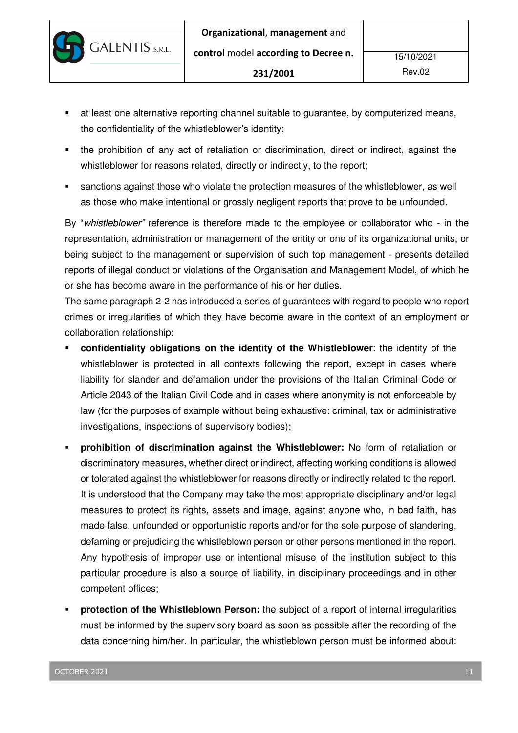**GALENTIS** S.R.L.

231/2001

- at least one alternative reporting channel suitable to guarantee, by computerized means, the confidentiality of the whistleblower's identity;
- the prohibition of any act of retaliation or discrimination, direct or indirect, against the whistleblower for reasons related, directly or indirectly, to the report;
- sanctions against those who violate the protection measures of the whistleblower, as well as those who make intentional or grossly negligent reports that prove to be unfounded.

By "whistleblower" reference is therefore made to the employee or collaborator who - in the representation, administration or management of the entity or one of its organizational units, or being subject to the management or supervision of such top management - presents detailed reports of illegal conduct or violations of the Organisation and Management Model, of which he or she has become aware in the performance of his or her duties.

The same paragraph 2-2 has introduced a series of guarantees with regard to people who report crimes or irregularities of which they have become aware in the context of an employment or collaboration relationship:

- **confidentiality obligations on the identity of the Whistleblower**: the identity of the whistleblower is protected in all contexts following the report, except in cases where liability for slander and defamation under the provisions of the Italian Criminal Code or Article 2043 of the Italian Civil Code and in cases where anonymity is not enforceable by law (for the purposes of example without being exhaustive: criminal, tax or administrative investigations, inspections of supervisory bodies);
- **prohibition of discrimination against the Whistleblower:** No form of retaliation or discriminatory measures, whether direct or indirect, affecting working conditions is allowed or tolerated against the whistleblower for reasons directly or indirectly related to the report. It is understood that the Company may take the most appropriate disciplinary and/or legal measures to protect its rights, assets and image, against anyone who, in bad faith, has made false, unfounded or opportunistic reports and/or for the sole purpose of slandering, defaming or prejudicing the whistleblown person or other persons mentioned in the report. Any hypothesis of improper use or intentional misuse of the institution subject to this particular procedure is also a source of liability, in disciplinary proceedings and in other competent offices;
- **protection of the Whistleblown Person:** the subject of a report of internal irregularities must be informed by the supervisory board as soon as possible after the recording of the data concerning him/her. In particular, the whistleblown person must be informed about: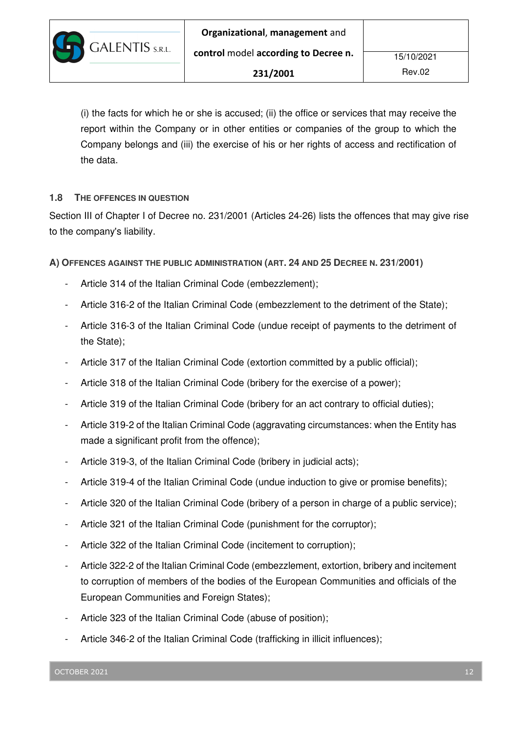(i) the facts for which he or she is accused; (ii) the office or services that may receive the report within the Company or in other entities or companies of the group to which the Company belongs and (iii) the exercise of his or her rights of access and rectification of the data.

### **1.8 THE OFFENCES IN QUESTION**

Section III of Chapter I of Decree no. 231/2001 (Articles 24-26) lists the offences that may give rise to the company's liability.

**A) OFFENCES AGAINST THE PUBLIC ADMINISTRATION (ART. 24 AND 25 DECREE N. 231/2001)** 

- Article 314 of the Italian Criminal Code (embezzlement);
- Article 316-2 of the Italian Criminal Code (embezzlement to the detriment of the State);
- Article 316-3 of the Italian Criminal Code (undue receipt of payments to the detriment of the State);
- Article 317 of the Italian Criminal Code (extortion committed by a public official);
- Article 318 of the Italian Criminal Code (bribery for the exercise of a power);
- Article 319 of the Italian Criminal Code (bribery for an act contrary to official duties);
- Article 319-2 of the Italian Criminal Code (aggravating circumstances: when the Entity has made a significant profit from the offence);
- Article 319-3, of the Italian Criminal Code (bribery in judicial acts);
- Article 319-4 of the Italian Criminal Code (undue induction to give or promise benefits);
- Article 320 of the Italian Criminal Code (bribery of a person in charge of a public service);
- Article 321 of the Italian Criminal Code (punishment for the corruptor);
- Article 322 of the Italian Criminal Code (incitement to corruption);
- Article 322-2 of the Italian Criminal Code (embezzlement, extortion, bribery and incitement to corruption of members of the bodies of the European Communities and officials of the European Communities and Foreign States);
- Article 323 of the Italian Criminal Code (abuse of position);
- Article 346-2 of the Italian Criminal Code (trafficking in illicit influences);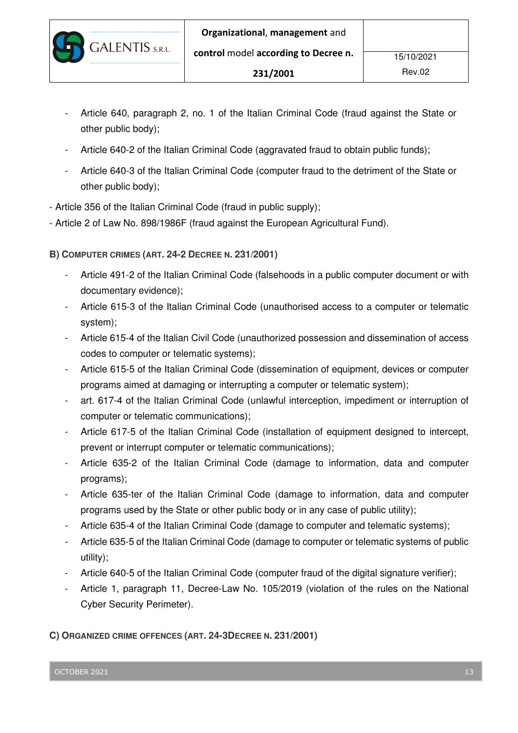- Article 640, paragraph 2, no. 1 of the Italian Criminal Code (fraud against the State or other public body);
- Article 640-2 of the Italian Criminal Code (aggravated fraud to obtain public funds);
- Article 640-3 of the Italian Criminal Code (computer fraud to the detriment of the State or other public body);
- Article 356 of the Italian Criminal Code (fraud in public supply);
- Article 2 of Law No. 898/1986F (fraud against the European Agricultural Fund).

**B) COMPUTER CRIMES (ART. 24-2 DECREE N. 231/2001)** 

- Article 491-2 of the Italian Criminal Code (falsehoods in a public computer document or with documentary evidence);
- Article 615-3 of the Italian Criminal Code (unauthorised access to a computer or telematic system);
- Article 615-4 of the Italian Civil Code (unauthorized possession and dissemination of access codes to computer or telematic systems);
- Article 615-5 of the Italian Criminal Code (dissemination of equipment, devices or computer programs aimed at damaging or interrupting a computer or telematic system);
- art. 617-4 of the Italian Criminal Code (unlawful interception, impediment or interruption of computer or telematic communications);
- Article 617-5 of the Italian Criminal Code (installation of equipment designed to intercept, prevent or interrupt computer or telematic communications);
- Article 635-2 of the Italian Criminal Code (damage to information, data and computer programs);
- Article 635-ter of the Italian Criminal Code (damage to information, data and computer programs used by the State or other public body or in any case of public utility);
- Article 635-4 of the Italian Criminal Code (damage to computer and telematic systems);
- Article 635-5 of the Italian Criminal Code (damage to computer or telematic systems of public utility);
- Article 640-5 of the Italian Criminal Code (computer fraud of the digital signature verifier);
- Article 1, paragraph 11, Decree-Law No. 105/2019 (violation of the rules on the National Cyber Security Perimeter).

**C) ORGANIZED CRIME OFFENCES (ART. 24-3DECREE N. 231/2001)**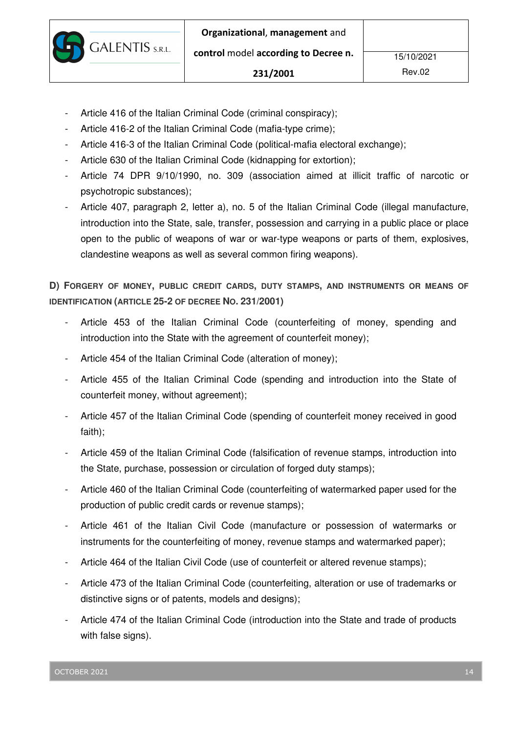- Article 416 of the Italian Criminal Code (criminal conspiracy);

**GALENTIS** S.R.L.

- Article 416-2 of the Italian Criminal Code (mafia-type crime);
- Article 416-3 of the Italian Criminal Code (political-mafia electoral exchange);
- Article 630 of the Italian Criminal Code (kidnapping for extortion);
- Article 74 DPR 9/10/1990, no. 309 (association aimed at illicit traffic of narcotic or psychotropic substances);
- Article 407, paragraph 2, letter a), no. 5 of the Italian Criminal Code (illegal manufacture, introduction into the State, sale, transfer, possession and carrying in a public place or place open to the public of weapons of war or war-type weapons or parts of them, explosives, clandestine weapons as well as several common firing weapons).

**D) FORGERY OF MONEY, PUBLIC CREDIT CARDS, DUTY STAMPS, AND INSTRUMENTS OR MEANS OF IDENTIFICATION (ARTICLE 25-2 OF DECREE NO. 231/2001)** 

- Article 453 of the Italian Criminal Code (counterfeiting of money, spending and introduction into the State with the agreement of counterfeit money);
- Article 454 of the Italian Criminal Code (alteration of money);
- Article 455 of the Italian Criminal Code (spending and introduction into the State of counterfeit money, without agreement);
- Article 457 of the Italian Criminal Code (spending of counterfeit money received in good faith);
- Article 459 of the Italian Criminal Code (falsification of revenue stamps, introduction into the State, purchase, possession or circulation of forged duty stamps);
- Article 460 of the Italian Criminal Code (counterfeiting of watermarked paper used for the production of public credit cards or revenue stamps);
- Article 461 of the Italian Civil Code (manufacture or possession of watermarks or instruments for the counterfeiting of money, revenue stamps and watermarked paper);
- Article 464 of the Italian Civil Code (use of counterfeit or altered revenue stamps);
- Article 473 of the Italian Criminal Code (counterfeiting, alteration or use of trademarks or distinctive signs or of patents, models and designs);
- Article 474 of the Italian Criminal Code (introduction into the State and trade of products with false signs).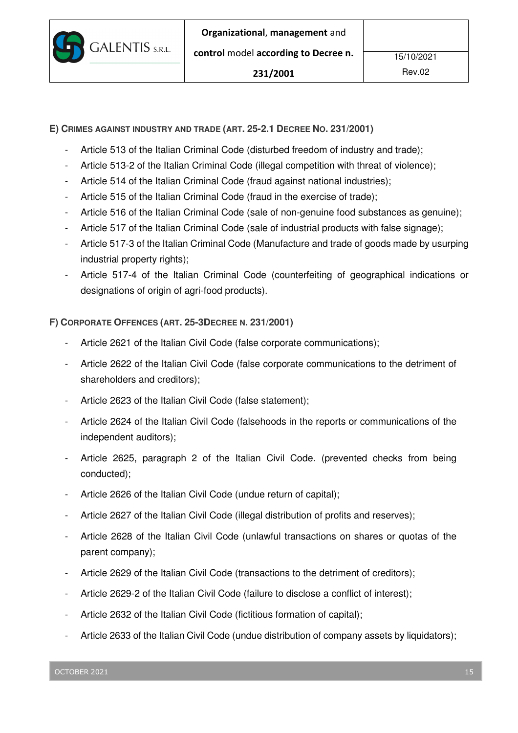

**E) CRIMES AGAINST INDUSTRY AND TRADE (ART. 25-2.1 DECREE NO. 231/2001)** 

- Article 513 of the Italian Criminal Code (disturbed freedom of industry and trade);
- Article 513-2 of the Italian Criminal Code (illegal competition with threat of violence);
- Article 514 of the Italian Criminal Code (fraud against national industries);
- Article 515 of the Italian Criminal Code (fraud in the exercise of trade);
- Article 516 of the Italian Criminal Code (sale of non-genuine food substances as genuine);
- Article 517 of the Italian Criminal Code (sale of industrial products with false signage);
- Article 517-3 of the Italian Criminal Code (Manufacture and trade of goods made by usurping industrial property rights);
- Article 517-4 of the Italian Criminal Code (counterfeiting of geographical indications or designations of origin of agri-food products).

**F) CORPORATE OFFENCES (ART. 25-3DECREE N. 231/2001)** 

- Article 2621 of the Italian Civil Code (false corporate communications);
- Article 2622 of the Italian Civil Code (false corporate communications to the detriment of shareholders and creditors);
- Article 2623 of the Italian Civil Code (false statement);
- Article 2624 of the Italian Civil Code (falsehoods in the reports or communications of the independent auditors);
- Article 2625, paragraph 2 of the Italian Civil Code. (prevented checks from being conducted);
- Article 2626 of the Italian Civil Code (undue return of capital);
- Article 2627 of the Italian Civil Code (illegal distribution of profits and reserves);
- Article 2628 of the Italian Civil Code (unlawful transactions on shares or quotas of the parent company);
- Article 2629 of the Italian Civil Code (transactions to the detriment of creditors);
- Article 2629-2 of the Italian Civil Code (failure to disclose a conflict of interest);
- Article 2632 of the Italian Civil Code (fictitious formation of capital);
- Article 2633 of the Italian Civil Code (undue distribution of company assets by liquidators);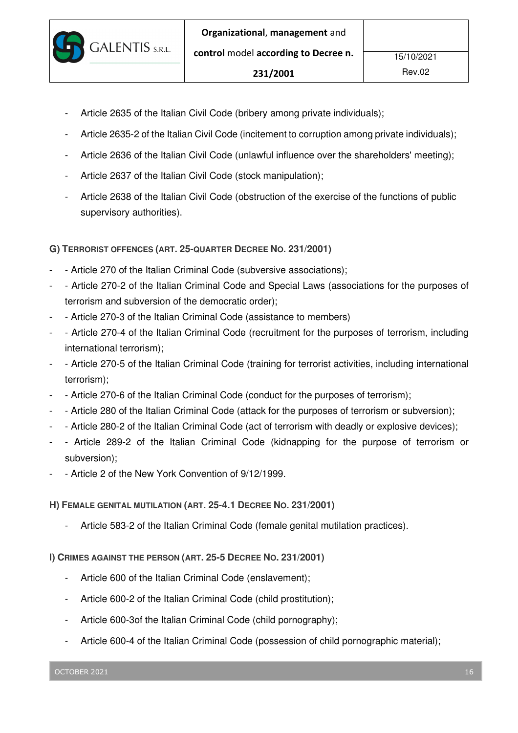- Article 2635 of the Italian Civil Code (bribery among private individuals);
- Article 2635-2 of the Italian Civil Code (incitement to corruption among private individuals);

- Article 2636 of the Italian Civil Code (unlawful influence over the shareholders' meeting);
- Article 2637 of the Italian Civil Code (stock manipulation);

**GALENTIS** S.R.L.

Article 2638 of the Italian Civil Code (obstruction of the exercise of the functions of public supervisory authorities).

**G) TERRORIST OFFENCES (ART. 25-QUARTER DECREE NO. 231/2001)** 

- Article 270 of the Italian Criminal Code (subversive associations);
- - Article 270-2 of the Italian Criminal Code and Special Laws (associations for the purposes of terrorism and subversion of the democratic order);
- Article 270-3 of the Italian Criminal Code (assistance to members)
- Article 270-4 of the Italian Criminal Code (recruitment for the purposes of terrorism, including international terrorism);
- - Article 270-5 of the Italian Criminal Code (training for terrorist activities, including international terrorism);
- Article 270-6 of the Italian Criminal Code (conduct for the purposes of terrorism);
- Article 280 of the Italian Criminal Code (attack for the purposes of terrorism or subversion);
- - Article 280-2 of the Italian Criminal Code (act of terrorism with deadly or explosive devices);
- Article 289-2 of the Italian Criminal Code (kidnapping for the purpose of terrorism or subversion);
- Article 2 of the New York Convention of 9/12/1999.

**H) FEMALE GENITAL MUTILATION (ART. 25-4.1 DECREE NO. 231/2001)** 

Article 583-2 of the Italian Criminal Code (female genital mutilation practices).

**I) CRIMES AGAINST THE PERSON (ART. 25-5 DECREE NO. 231/2001)** 

- Article 600 of the Italian Criminal Code (enslavement);
- Article 600-2 of the Italian Criminal Code (child prostitution);
- Article 600-3of the Italian Criminal Code (child pornography);
- Article 600-4 of the Italian Criminal Code (possession of child pornographic material);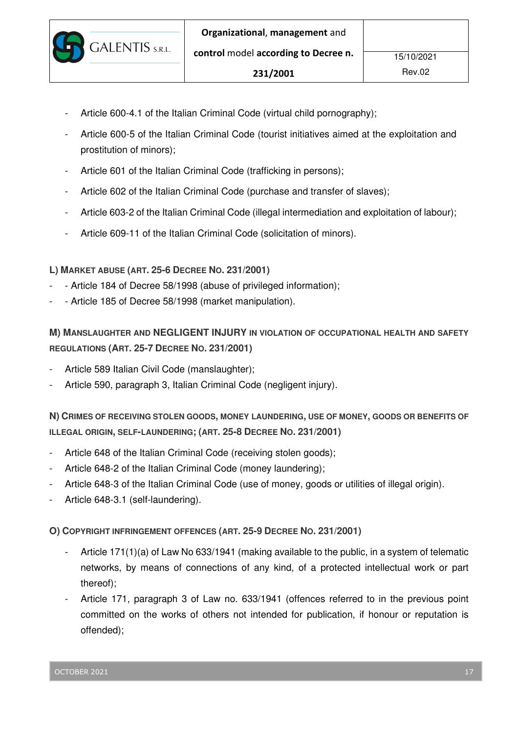

- Article 600-4.1 of the Italian Criminal Code (virtual child pornography);
- Article 600-5 of the Italian Criminal Code (tourist initiatives aimed at the exploitation and prostitution of minors);
- Article 601 of the Italian Criminal Code (trafficking in persons);
- Article 602 of the Italian Criminal Code (purchase and transfer of slaves);
- Article 603-2 of the Italian Criminal Code (illegal intermediation and exploitation of labour);
- Article 609-11 of the Italian Criminal Code (solicitation of minors).

### **L) MARKET ABUSE (ART. 25-6 DECREE NO. 231/2001)**

- Article 184 of Decree 58/1998 (abuse of privileged information);
- Article 185 of Decree 58/1998 (market manipulation).

# **M) MANSLAUGHTER AND NEGLIGENT INJURY IN VIOLATION OF OCCUPATIONAL HEALTH AND SAFETY REGULATIONS (ART. 25-7 DECREE NO. 231/2001)**

- Article 589 Italian Civil Code (manslaughter);
- Article 590, paragraph 3, Italian Criminal Code (negligent injury).

**N) CRIMES OF RECEIVING STOLEN GOODS, MONEY LAUNDERING, USE OF MONEY, GOODS OR BENEFITS OF ILLEGAL ORIGIN, SELF-LAUNDERING; (ART. 25-8 DECREE NO. 231/2001)** 

- Article 648 of the Italian Criminal Code (receiving stolen goods);
- Article 648-2 of the Italian Criminal Code (money laundering);
- Article 648-3 of the Italian Criminal Code (use of money, goods or utilities of illegal origin).
- Article 648-3.1 (self-laundering).

**O) COPYRIGHT INFRINGEMENT OFFENCES (ART. 25-9 DECREE NO. 231/2001)** 

- Article 171(1)(a) of Law No 633/1941 (making available to the public, in a system of telematic networks, by means of connections of any kind, of a protected intellectual work or part thereof);
- Article 171, paragraph 3 of Law no. 633/1941 (offences referred to in the previous point committed on the works of others not intended for publication, if honour or reputation is offended);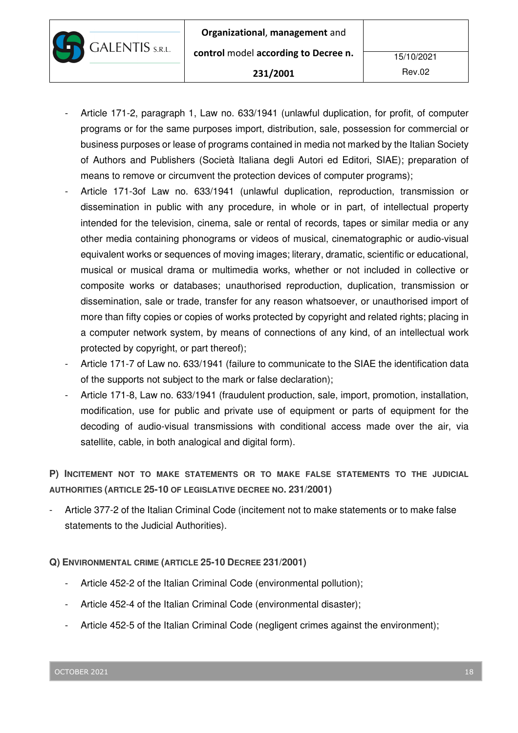**GALENTIS** S.R.L.

- Article 171-2, paragraph 1, Law no. 633/1941 (unlawful duplication, for profit, of computer programs or for the same purposes import, distribution, sale, possession for commercial or business purposes or lease of programs contained in media not marked by the Italian Society of Authors and Publishers (Società Italiana degli Autori ed Editori, SIAE); preparation of means to remove or circumvent the protection devices of computer programs);
- Article 171-3of Law no. 633/1941 (unlawful duplication, reproduction, transmission or dissemination in public with any procedure, in whole or in part, of intellectual property intended for the television, cinema, sale or rental of records, tapes or similar media or any other media containing phonograms or videos of musical, cinematographic or audio-visual equivalent works or sequences of moving images; literary, dramatic, scientific or educational, musical or musical drama or multimedia works, whether or not included in collective or composite works or databases; unauthorised reproduction, duplication, transmission or dissemination, sale or trade, transfer for any reason whatsoever, or unauthorised import of more than fifty copies or copies of works protected by copyright and related rights; placing in a computer network system, by means of connections of any kind, of an intellectual work protected by copyright, or part thereof);
- Article 171-7 of Law no. 633/1941 (failure to communicate to the SIAE the identification data of the supports not subject to the mark or false declaration);
- Article 171-8, Law no. 633/1941 (fraudulent production, sale, import, promotion, installation, modification, use for public and private use of equipment or parts of equipment for the decoding of audio-visual transmissions with conditional access made over the air, via satellite, cable, in both analogical and digital form).

**P) INCITEMENT NOT TO MAKE STATEMENTS OR TO MAKE FALSE STATEMENTS TO THE JUDICIAL AUTHORITIES (ARTICLE 25-10 OF LEGISLATIVE DECREE NO. 231/2001)** 

- Article 377-2 of the Italian Criminal Code (incitement not to make statements or to make false statements to the Judicial Authorities).

## **Q) ENVIRONMENTAL CRIME (ARTICLE 25-10 DECREE 231/2001)**

- Article 452-2 of the Italian Criminal Code (environmental pollution);
- Article 452-4 of the Italian Criminal Code (environmental disaster);
- Article 452-5 of the Italian Criminal Code (negligent crimes against the environment);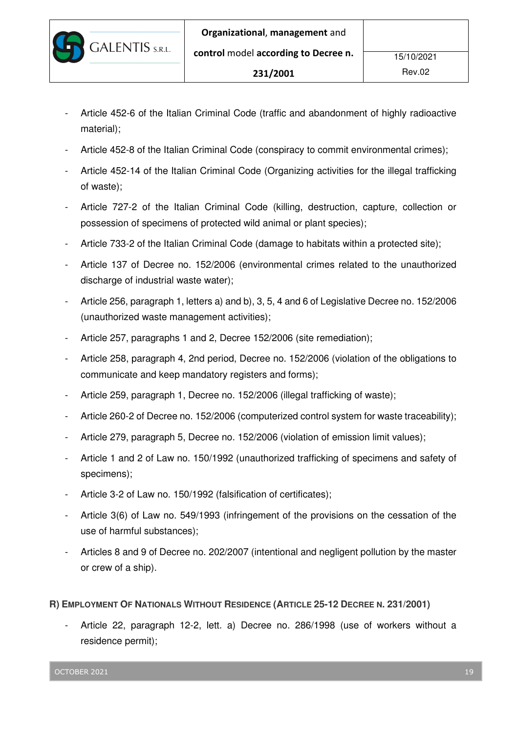- Article 452-6 of the Italian Criminal Code (traffic and abandonment of highly radioactive material);
- Article 452-8 of the Italian Criminal Code (conspiracy to commit environmental crimes);
- Article 452-14 of the Italian Criminal Code (Organizing activities for the illegal trafficking of waste);
- Article 727-2 of the Italian Criminal Code (killing, destruction, capture, collection or possession of specimens of protected wild animal or plant species);
- Article 733-2 of the Italian Criminal Code (damage to habitats within a protected site);
- Article 137 of Decree no. 152/2006 (environmental crimes related to the unauthorized discharge of industrial waste water);
- Article 256, paragraph 1, letters a) and b), 3, 5, 4 and 6 of Legislative Decree no. 152/2006 (unauthorized waste management activities);
- Article 257, paragraphs 1 and 2, Decree 152/2006 (site remediation);
- Article 258, paragraph 4, 2nd period, Decree no. 152/2006 (violation of the obligations to communicate and keep mandatory registers and forms);
- Article 259, paragraph 1, Decree no. 152/2006 (illegal trafficking of waste);
- Article 260-2 of Decree no. 152/2006 (computerized control system for waste traceability);
- Article 279, paragraph 5, Decree no. 152/2006 (violation of emission limit values);
- Article 1 and 2 of Law no. 150/1992 (unauthorized trafficking of specimens and safety of specimens);
- Article 3-2 of Law no. 150/1992 (falsification of certificates);
- Article 3(6) of Law no. 549/1993 (infringement of the provisions on the cessation of the use of harmful substances);
- Articles 8 and 9 of Decree no. 202/2007 (intentional and negligent pollution by the master or crew of a ship).
- **R) EMPLOYMENT OF NATIONALS WITHOUT RESIDENCE (ARTICLE 25-12 DECREE N. 231/2001)** 
	- Article 22, paragraph 12-2, lett. a) Decree no. 286/1998 (use of workers without a residence permit);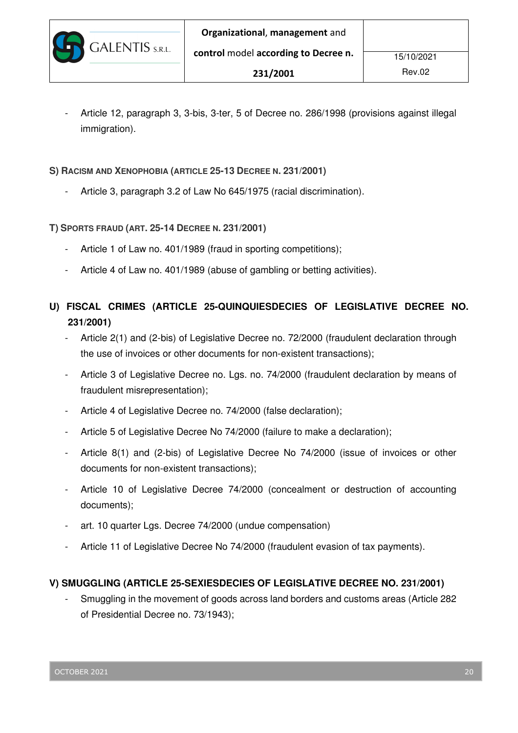Article 12, paragraph 3, 3-bis, 3-ter, 5 of Decree no. 286/1998 (provisions against illegal immigration).

**S) RACISM AND XENOPHOBIA (ARTICLE 25-13 DECREE N. 231/2001)** 

Article 3, paragraph 3.2 of Law No 645/1975 (racial discrimination).

**T) SPORTS FRAUD (ART. 25-14 DECREE N. 231/2001)** 

**GALENTIS** S.R.L.

- Article 1 of Law no. 401/1989 (fraud in sporting competitions);
- Article 4 of Law no. 401/1989 (abuse of gambling or betting activities).
- **U) FISCAL CRIMES (ARTICLE 25-QUINQUIESDECIES OF LEGISLATIVE DECREE NO. 231/2001)** 
	- Article 2(1) and (2-bis) of Legislative Decree no. 72/2000 (fraudulent declaration through the use of invoices or other documents for non-existent transactions);
	- Article 3 of Legislative Decree no. Lgs. no. 74/2000 (fraudulent declaration by means of fraudulent misrepresentation);
	- Article 4 of Legislative Decree no. 74/2000 (false declaration);
	- Article 5 of Legislative Decree No 74/2000 (failure to make a declaration);
	- Article 8(1) and (2-bis) of Legislative Decree No 74/2000 (issue of invoices or other documents for non-existent transactions);
	- Article 10 of Legislative Decree 74/2000 (concealment or destruction of accounting documents);
	- art. 10 quarter Lgs. Decree 74/2000 (undue compensation)
	- Article 11 of Legislative Decree No 74/2000 (fraudulent evasion of tax payments).

### **V) SMUGGLING (ARTICLE 25-SEXIESDECIES OF LEGISLATIVE DECREE NO. 231/2001)**

- Smuggling in the movement of goods across land borders and customs areas (Article 282 of Presidential Decree no. 73/1943);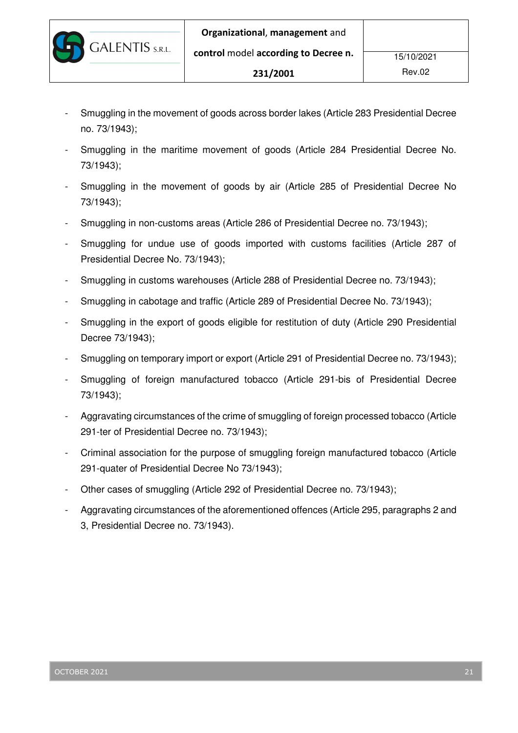**GALENTIS** S.R.L.

- Smuggling in the movement of goods across border lakes (Article 283 Presidential Decree no. 73/1943);
- Smuggling in the maritime movement of goods (Article 284 Presidential Decree No. 73/1943);
- Smuggling in the movement of goods by air (Article 285 of Presidential Decree No 73/1943);
- Smuggling in non-customs areas (Article 286 of Presidential Decree no. 73/1943);
- Smuggling for undue use of goods imported with customs facilities (Article 287 of Presidential Decree No. 73/1943);
- Smuggling in customs warehouses (Article 288 of Presidential Decree no. 73/1943);
- Smuggling in cabotage and traffic (Article 289 of Presidential Decree No. 73/1943);
- Smuggling in the export of goods eligible for restitution of duty (Article 290 Presidential Decree 73/1943);
- Smuggling on temporary import or export (Article 291 of Presidential Decree no. 73/1943);
- Smuggling of foreign manufactured tobacco (Article 291-bis of Presidential Decree 73/1943);
- Aggravating circumstances of the crime of smuggling of foreign processed tobacco (Article 291-ter of Presidential Decree no. 73/1943);
- Criminal association for the purpose of smuggling foreign manufactured tobacco (Article 291-quater of Presidential Decree No 73/1943);
- Other cases of smuggling (Article 292 of Presidential Decree no. 73/1943);
- Aggravating circumstances of the aforementioned offences (Article 295, paragraphs 2 and 3, Presidential Decree no. 73/1943).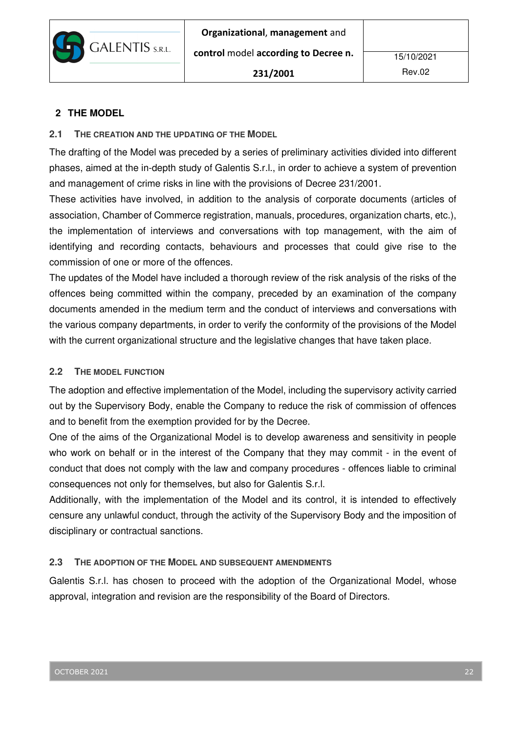

## **2 THE MODEL**

### **2.1 THE CREATION AND THE UPDATING OF THE MODEL**

The drafting of the Model was preceded by a series of preliminary activities divided into different phases, aimed at the in-depth study of Galentis S.r.l., in order to achieve a system of prevention and management of crime risks in line with the provisions of Decree 231/2001.

These activities have involved, in addition to the analysis of corporate documents (articles of association, Chamber of Commerce registration, manuals, procedures, organization charts, etc.), the implementation of interviews and conversations with top management, with the aim of identifying and recording contacts, behaviours and processes that could give rise to the commission of one or more of the offences.

The updates of the Model have included a thorough review of the risk analysis of the risks of the offences being committed within the company, preceded by an examination of the company documents amended in the medium term and the conduct of interviews and conversations with the various company departments, in order to verify the conformity of the provisions of the Model with the current organizational structure and the legislative changes that have taken place.

### **2.2 THE MODEL FUNCTION**

The adoption and effective implementation of the Model, including the supervisory activity carried out by the Supervisory Body, enable the Company to reduce the risk of commission of offences and to benefit from the exemption provided for by the Decree.

One of the aims of the Organizational Model is to develop awareness and sensitivity in people who work on behalf or in the interest of the Company that they may commit - in the event of conduct that does not comply with the law and company procedures - offences liable to criminal consequences not only for themselves, but also for Galentis S.r.l.

Additionally, with the implementation of the Model and its control, it is intended to effectively censure any unlawful conduct, through the activity of the Supervisory Body and the imposition of disciplinary or contractual sanctions.

## **2.3 THE ADOPTION OF THE MODEL AND SUBSEQUENT AMENDMENTS**

Galentis S.r.l. has chosen to proceed with the adoption of the Organizational Model, whose approval, integration and revision are the responsibility of the Board of Directors.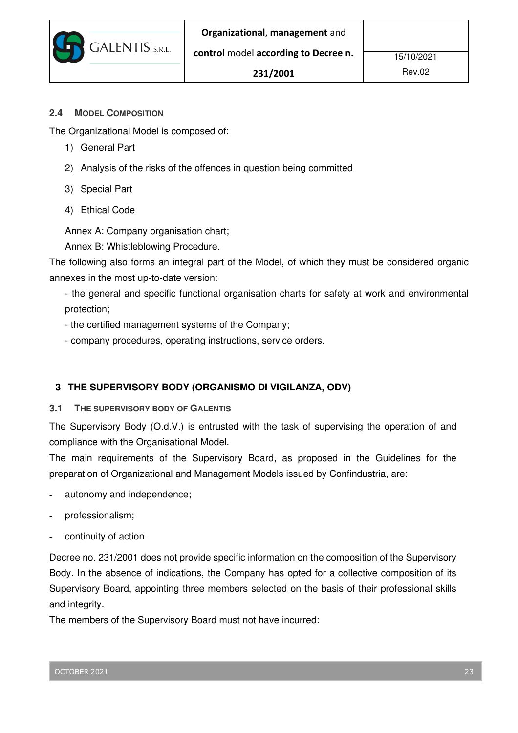#### **2.4 MODEL COMPOSITION**

The Organizational Model is composed of:

**GALENTIS** S.R.L.

- 1) General Part
- 2) Analysis of the risks of the offences in question being committed
- 3) Special Part
- 4) Ethical Code

Annex A: Company organisation chart;

Annex B: Whistleblowing Procedure.

The following also forms an integral part of the Model, of which they must be considered organic annexes in the most up-to-date version:

- the general and specific functional organisation charts for safety at work and environmental protection;

- the certified management systems of the Company;
- company procedures, operating instructions, service orders.

## **3 THE SUPERVISORY BODY (ORGANISMO DI VIGILANZA, ODV)**

#### **3.1 THE SUPERVISORY BODY OF GALENTIS**

The Supervisory Body (O.d.V.) is entrusted with the task of supervising the operation of and compliance with the Organisational Model.

The main requirements of the Supervisory Board, as proposed in the Guidelines for the preparation of Organizational and Management Models issued by Confindustria, are:

- autonomy and independence;
- professionalism;
- continuity of action.

Decree no. 231/2001 does not provide specific information on the composition of the Supervisory Body. In the absence of indications, the Company has opted for a collective composition of its Supervisory Board, appointing three members selected on the basis of their professional skills and integrity.

The members of the Supervisory Board must not have incurred: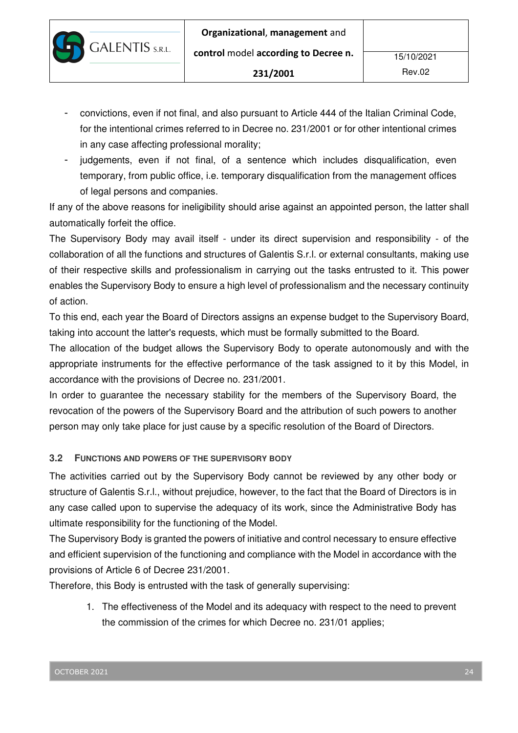- convictions, even if not final, and also pursuant to Article 444 of the Italian Criminal Code, for the intentional crimes referred to in Decree no. 231/2001 or for other intentional crimes in any case affecting professional morality;
- judgements, even if not final, of a sentence which includes disqualification, even temporary, from public office, i.e. temporary disqualification from the management offices of legal persons and companies.

If any of the above reasons for ineligibility should arise against an appointed person, the latter shall automatically forfeit the office.

The Supervisory Body may avail itself - under its direct supervision and responsibility - of the collaboration of all the functions and structures of Galentis S.r.l. or external consultants, making use of their respective skills and professionalism in carrying out the tasks entrusted to it. This power enables the Supervisory Body to ensure a high level of professionalism and the necessary continuity of action.

To this end, each year the Board of Directors assigns an expense budget to the Supervisory Board, taking into account the latter's requests, which must be formally submitted to the Board.

The allocation of the budget allows the Supervisory Body to operate autonomously and with the appropriate instruments for the effective performance of the task assigned to it by this Model, in accordance with the provisions of Decree no. 231/2001.

In order to guarantee the necessary stability for the members of the Supervisory Board, the revocation of the powers of the Supervisory Board and the attribution of such powers to another person may only take place for just cause by a specific resolution of the Board of Directors.

## **3.2 FUNCTIONS AND POWERS OF THE SUPERVISORY BODY**

**GALENTIS** S.R.L.

The activities carried out by the Supervisory Body cannot be reviewed by any other body or structure of Galentis S.r.l., without prejudice, however, to the fact that the Board of Directors is in any case called upon to supervise the adequacy of its work, since the Administrative Body has ultimate responsibility for the functioning of the Model.

The Supervisory Body is granted the powers of initiative and control necessary to ensure effective and efficient supervision of the functioning and compliance with the Model in accordance with the provisions of Article 6 of Decree 231/2001.

Therefore, this Body is entrusted with the task of generally supervising:

1. The effectiveness of the Model and its adequacy with respect to the need to prevent the commission of the crimes for which Decree no. 231/01 applies;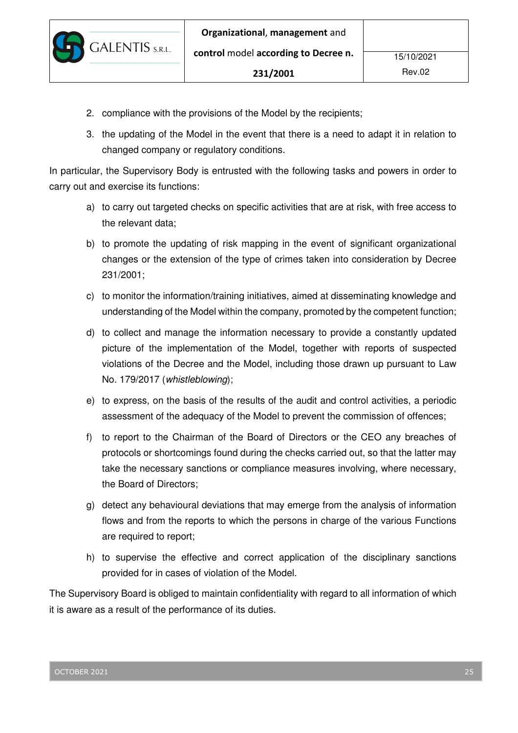2. compliance with the provisions of the Model by the recipients;

**GALENTIS** S.R.L.

3. the updating of the Model in the event that there is a need to adapt it in relation to changed company or regulatory conditions.

In particular, the Supervisory Body is entrusted with the following tasks and powers in order to carry out and exercise its functions:

- a) to carry out targeted checks on specific activities that are at risk, with free access to the relevant data;
- b) to promote the updating of risk mapping in the event of significant organizational changes or the extension of the type of crimes taken into consideration by Decree 231/2001;
- c) to monitor the information/training initiatives, aimed at disseminating knowledge and understanding of the Model within the company, promoted by the competent function;
- d) to collect and manage the information necessary to provide a constantly updated picture of the implementation of the Model, together with reports of suspected violations of the Decree and the Model, including those drawn up pursuant to Law No. 179/2017 (whistleblowing);
- e) to express, on the basis of the results of the audit and control activities, a periodic assessment of the adequacy of the Model to prevent the commission of offences;
- f) to report to the Chairman of the Board of Directors or the CEO any breaches of protocols or shortcomings found during the checks carried out, so that the latter may take the necessary sanctions or compliance measures involving, where necessary, the Board of Directors;
- g) detect any behavioural deviations that may emerge from the analysis of information flows and from the reports to which the persons in charge of the various Functions are required to report;
- h) to supervise the effective and correct application of the disciplinary sanctions provided for in cases of violation of the Model.

The Supervisory Board is obliged to maintain confidentiality with regard to all information of which it is aware as a result of the performance of its duties.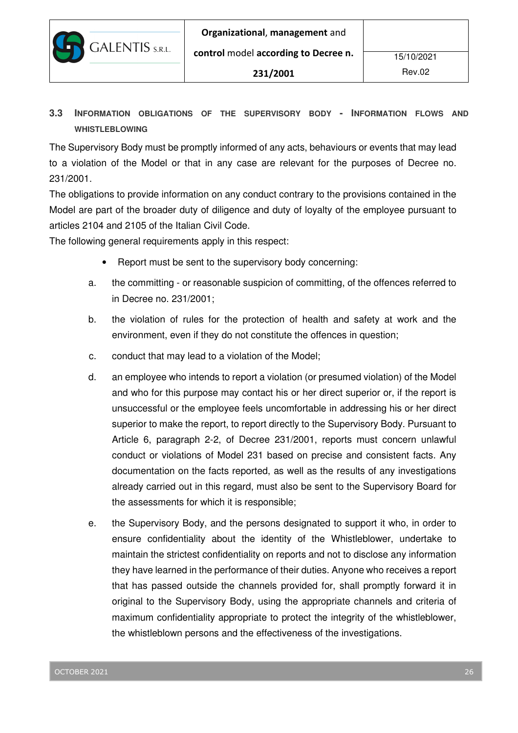

**3.3 INFORMATION OBLIGATIONS OF THE SUPERVISORY BODY - INFORMATION FLOWS AND WHISTLEBLOWING**

The Supervisory Body must be promptly informed of any acts, behaviours or events that may lead to a violation of the Model or that in any case are relevant for the purposes of Decree no. 231/2001.

The obligations to provide information on any conduct contrary to the provisions contained in the Model are part of the broader duty of diligence and duty of loyalty of the employee pursuant to articles 2104 and 2105 of the Italian Civil Code.

The following general requirements apply in this respect:

- Report must be sent to the supervisory body concerning:
- a. the committing or reasonable suspicion of committing, of the offences referred to in Decree no. 231/2001;
- b. the violation of rules for the protection of health and safety at work and the environment, even if they do not constitute the offences in question;
- c. conduct that may lead to a violation of the Model;
- d. an employee who intends to report a violation (or presumed violation) of the Model and who for this purpose may contact his or her direct superior or, if the report is unsuccessful or the employee feels uncomfortable in addressing his or her direct superior to make the report, to report directly to the Supervisory Body. Pursuant to Article 6, paragraph 2-2, of Decree 231/2001, reports must concern unlawful conduct or violations of Model 231 based on precise and consistent facts. Any documentation on the facts reported, as well as the results of any investigations already carried out in this regard, must also be sent to the Supervisory Board for the assessments for which it is responsible;
- e. the Supervisory Body, and the persons designated to support it who, in order to ensure confidentiality about the identity of the Whistleblower, undertake to maintain the strictest confidentiality on reports and not to disclose any information they have learned in the performance of their duties. Anyone who receives a report that has passed outside the channels provided for, shall promptly forward it in original to the Supervisory Body, using the appropriate channels and criteria of maximum confidentiality appropriate to protect the integrity of the whistleblower, the whistleblown persons and the effectiveness of the investigations.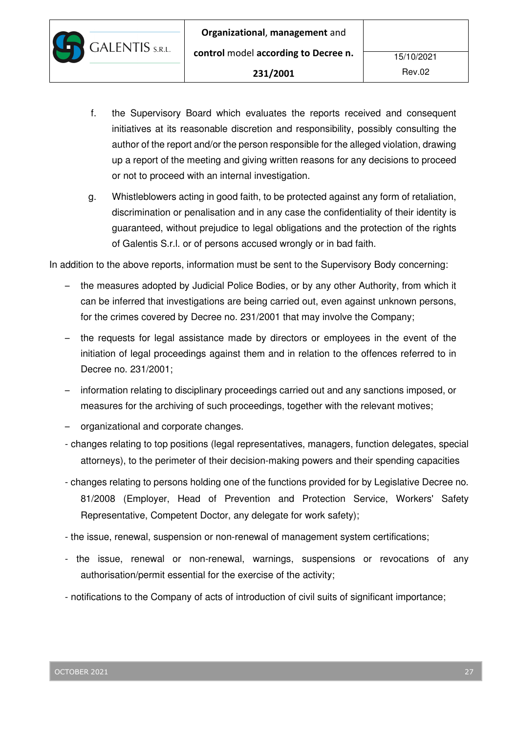- f. the Supervisory Board which evaluates the reports received and consequent initiatives at its reasonable discretion and responsibility, possibly consulting the author of the report and/or the person responsible for the alleged violation, drawing up a report of the meeting and giving written reasons for any decisions to proceed or not to proceed with an internal investigation.
- g. Whistleblowers acting in good faith, to be protected against any form of retaliation, discrimination or penalisation and in any case the confidentiality of their identity is guaranteed, without prejudice to legal obligations and the protection of the rights of Galentis S.r.l. or of persons accused wrongly or in bad faith.

In addition to the above reports, information must be sent to the Supervisory Body concerning:

- the measures adopted by Judicial Police Bodies, or by any other Authority, from which it can be inferred that investigations are being carried out, even against unknown persons, for the crimes covered by Decree no. 231/2001 that may involve the Company;
- the requests for legal assistance made by directors or employees in the event of the initiation of legal proceedings against them and in relation to the offences referred to in Decree no. 231/2001;
- information relating to disciplinary proceedings carried out and any sanctions imposed, or measures for the archiving of such proceedings, together with the relevant motives;
- organizational and corporate changes.

**GALENTIS** S.R.L.

- changes relating to top positions (legal representatives, managers, function delegates, special attorneys), to the perimeter of their decision-making powers and their spending capacities
- changes relating to persons holding one of the functions provided for by Legislative Decree no. 81/2008 (Employer, Head of Prevention and Protection Service, Workers' Safety Representative, Competent Doctor, any delegate for work safety);
- the issue, renewal, suspension or non-renewal of management system certifications;
- the issue, renewal or non-renewal, warnings, suspensions or revocations of any authorisation/permit essential for the exercise of the activity;
- notifications to the Company of acts of introduction of civil suits of significant importance;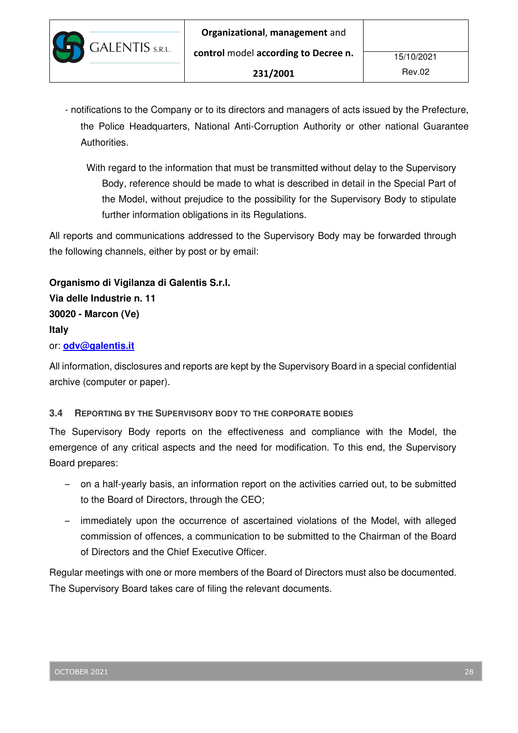- notifications to the Company or to its directors and managers of acts issued by the Prefecture, the Police Headquarters, National Anti-Corruption Authority or other national Guarantee Authorities.
	- With regard to the information that must be transmitted without delay to the Supervisory Body, reference should be made to what is described in detail in the Special Part of the Model, without prejudice to the possibility for the Supervisory Body to stipulate further information obligations in its Regulations.

All reports and communications addressed to the Supervisory Body may be forwarded through the following channels, either by post or by email:

**Organismo di Vigilanza di Galentis S.r.l. Via delle Industrie n. 11 30020 - Marcon (Ve) Italy**  or: **odv@galentis.it**

All information, disclosures and reports are kept by the Supervisory Board in a special confidential archive (computer or paper).

## **3.4 REPORTING BY THE SUPERVISORY BODY TO THE CORPORATE BODIES**

The Supervisory Body reports on the effectiveness and compliance with the Model, the emergence of any critical aspects and the need for modification. To this end, the Supervisory Board prepares:

- on a half-yearly basis, an information report on the activities carried out, to be submitted to the Board of Directors, through the CEO;
- immediately upon the occurrence of ascertained violations of the Model, with alleged commission of offences, a communication to be submitted to the Chairman of the Board of Directors and the Chief Executive Officer.

Regular meetings with one or more members of the Board of Directors must also be documented. The Supervisory Board takes care of filing the relevant documents.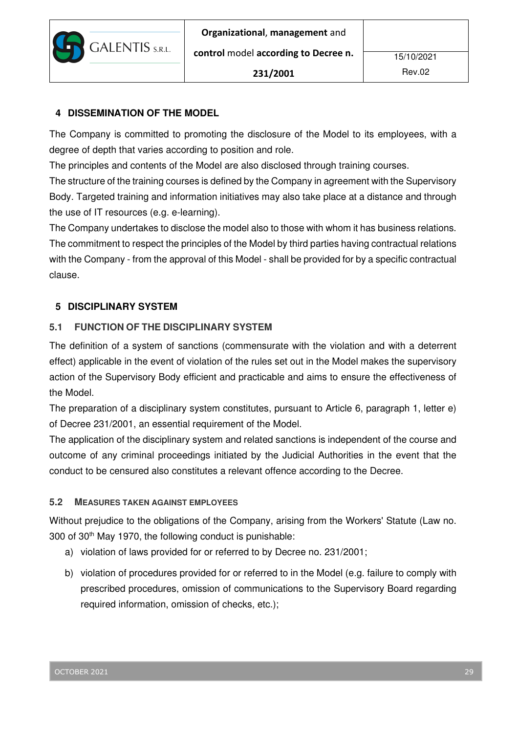

## **4 DISSEMINATION OF THE MODEL**

The Company is committed to promoting the disclosure of the Model to its employees, with a degree of depth that varies according to position and role.

The principles and contents of the Model are also disclosed through training courses.

The structure of the training courses is defined by the Company in agreement with the Supervisory Body. Targeted training and information initiatives may also take place at a distance and through the use of IT resources (e.g. e-learning).

The Company undertakes to disclose the model also to those with whom it has business relations. The commitment to respect the principles of the Model by third parties having contractual relations with the Company - from the approval of this Model - shall be provided for by a specific contractual clause.

## **5 DISCIPLINARY SYSTEM**

## **5.1 FUNCTION OF THE DISCIPLINARY SYSTEM**

The definition of a system of sanctions (commensurate with the violation and with a deterrent effect) applicable in the event of violation of the rules set out in the Model makes the supervisory action of the Supervisory Body efficient and practicable and aims to ensure the effectiveness of the Model.

The preparation of a disciplinary system constitutes, pursuant to Article 6, paragraph 1, letter e) of Decree 231/2001, an essential requirement of the Model.

The application of the disciplinary system and related sanctions is independent of the course and outcome of any criminal proceedings initiated by the Judicial Authorities in the event that the conduct to be censured also constitutes a relevant offence according to the Decree.

### **5.2 MEASURES TAKEN AGAINST EMPLOYEES**

Without prejudice to the obligations of the Company, arising from the Workers' Statute (Law no. 300 of 30th May 1970, the following conduct is punishable:

- a) violation of laws provided for or referred to by Decree no. 231/2001;
- b) violation of procedures provided for or referred to in the Model (e.g. failure to comply with prescribed procedures, omission of communications to the Supervisory Board regarding required information, omission of checks, etc.);